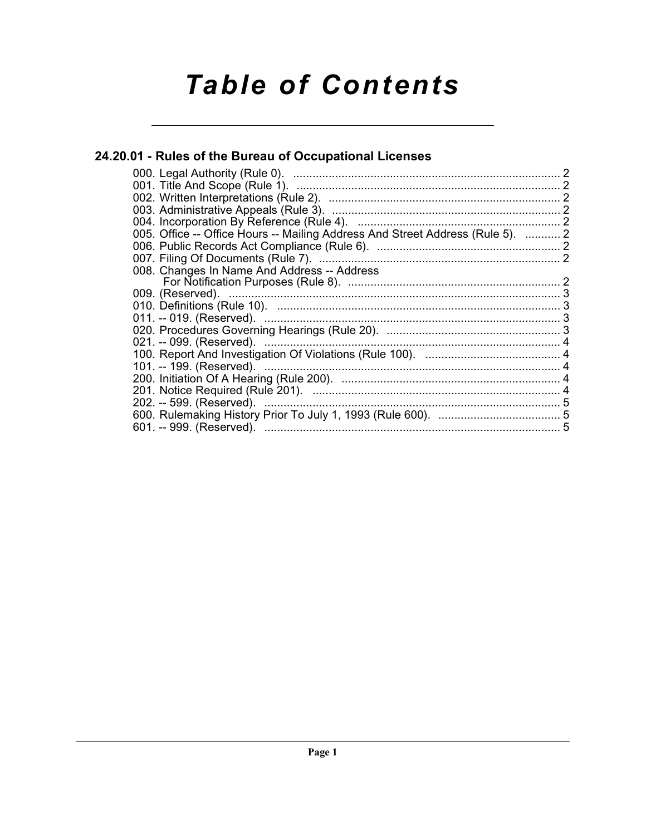# **Table of Contents**

## 24.20.01 - Rules of the Bureau of Occupational Licenses

| 005. Office -- Office Hours -- Mailing Address And Street Address (Rule 5).  2 |  |
|--------------------------------------------------------------------------------|--|
|                                                                                |  |
|                                                                                |  |
| 008. Changes In Name And Address -- Address                                    |  |
|                                                                                |  |
|                                                                                |  |
|                                                                                |  |
|                                                                                |  |
|                                                                                |  |
|                                                                                |  |
|                                                                                |  |
|                                                                                |  |
|                                                                                |  |
|                                                                                |  |
|                                                                                |  |
|                                                                                |  |
|                                                                                |  |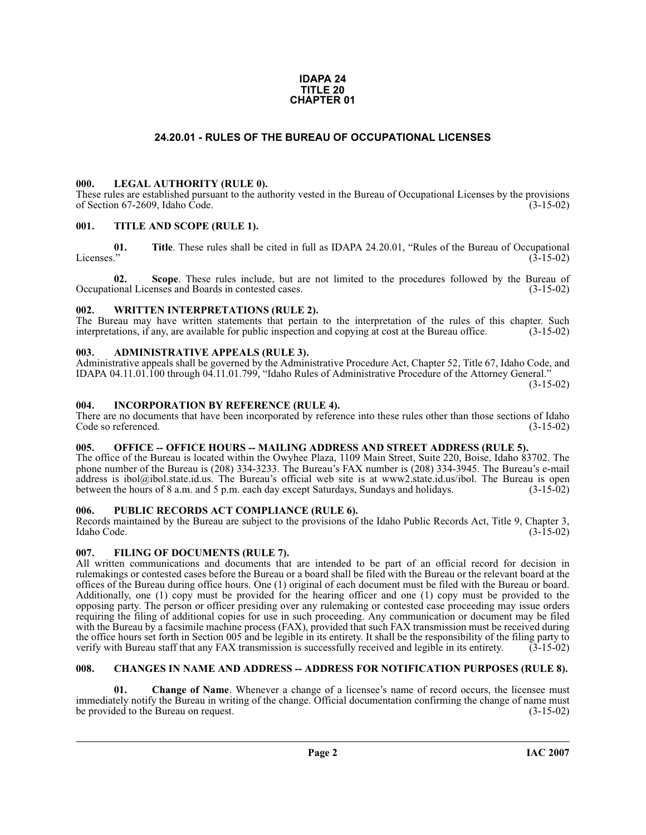#### **IDAPA 24 TITLE 20 CHAPTER 01**

### **24.20.01 - RULES OF THE BUREAU OF OCCUPATIONAL LICENSES**

#### <span id="page-1-1"></span><span id="page-1-0"></span>**000. LEGAL AUTHORITY (RULE 0).**

These rules are established pursuant to the authority vested in the Bureau of Occupational Licenses by the provisions of Section 67-2609, Idaho Code. (3-15-02) of Section 67-2609, Idaho Code.

#### <span id="page-1-2"></span>**001. TITLE AND SCOPE (RULE 1).**

**01.** Title. These rules shall be cited in full as IDAPA 24.20.01, "Rules of the Bureau of Occupational Licenses." (3-15-02) Licenses." (3-15-02)

**02.** Scope. These rules include, but are not limited to the procedures followed by the Bureau of ional Licenses and Boards in contested cases. (3-15-02) Occupational Licenses and Boards in contested cases.

#### <span id="page-1-3"></span>**002. WRITTEN INTERPRETATIONS (RULE 2).**

The Bureau may have written statements that pertain to the interpretation of the rules of this chapter. Such interpretations, if any, are available for public inspection and copying at cost at the Bureau office. (3-15-02) interpretations, if any, are available for public inspection and copying at cost at the Bureau office.

#### <span id="page-1-4"></span>**003. ADMINISTRATIVE APPEALS (RULE 3).**

Administrative appeals shall be governed by the Administrative Procedure Act, Chapter 52, Title 67, Idaho Code, and IDAPA 04.11.01.100 through 04.11.01.799, "Idaho Rules of Administrative Procedure of the Attorney General."

(3-15-02)

#### <span id="page-1-5"></span>**004. INCORPORATION BY REFERENCE (RULE 4).**

There are no documents that have been incorporated by reference into these rules other than those sections of Idaho<br>Code so referenced. (3-15-02) Code so referenced.

#### <span id="page-1-6"></span>005. OFFICE -- OFFICE HOURS -- MAILING ADDRESS AND STREET ADDRESS (RULE 5).

[The office of the Bureau is located within the Owyhee Plaza, 1109 Main Street, Suite 220, Boise, Idaho 83702. The](https://secure.ibol.idaho.gov/IBOLPortal/)  phone number of the Bureau is (208) 334-3233. The Bureau's FAX number is (208) 334-3945. The Bureau's e-mail address is ibol@ibol.state.id.us. The Bureau's official web site is at www2.state.id.us/ibol. The Bureau is open between the hours of 8 a.m. and 5 p.m. each day except Saturdays, Sundays and holidays. (3-15-02)

#### <span id="page-1-7"></span>**006. PUBLIC RECORDS ACT COMPLIANCE (RULE 6).**

Records maintained by the Bureau are subject to the provisions of the Idaho Public Records Act, Title 9, Chapter 3, Idaho Code. (3-15-02)

#### <span id="page-1-8"></span>**007. FILING OF DOCUMENTS (RULE 7).**

All written communications and documents that are intended to be part of an official record for decision in rulemakings or contested cases before the Bureau or a board shall be filed with the Bureau or the relevant board at the offices of the Bureau during office hours. One (1) original of each document must be filed with the Bureau or board. Additionally, one (1) copy must be provided for the hearing officer and one (1) copy must be provided to the opposing party. The person or officer presiding over any rulemaking or contested case proceeding may issue orders requiring the filing of additional copies for use in such proceeding. Any communication or document may be filed with the Bureau by a facsimile machine process (FAX), provided that such FAX transmission must be received during the office hours set forth in Section 005 and be legible in its entirety. It shall be the responsibility of the filing party to verify with Bureau staff that any FAX transmission is successfully received and legible in its verify with Bureau staff that any FAX transmission is successfully received and legible in its entirety.

#### <span id="page-1-9"></span>**008. CHANGES IN NAME AND ADDRESS -- ADDRESS FOR NOTIFICATION PURPOSES (RULE 8).**

**Change of Name.** Whenever a change of a licensee's name of record occurs, the licensee must immediately notify the Bureau in writing of the change. Official documentation confirming the change of name must<br>(3-15-02) (3-15-02) be provided to the Bureau on request.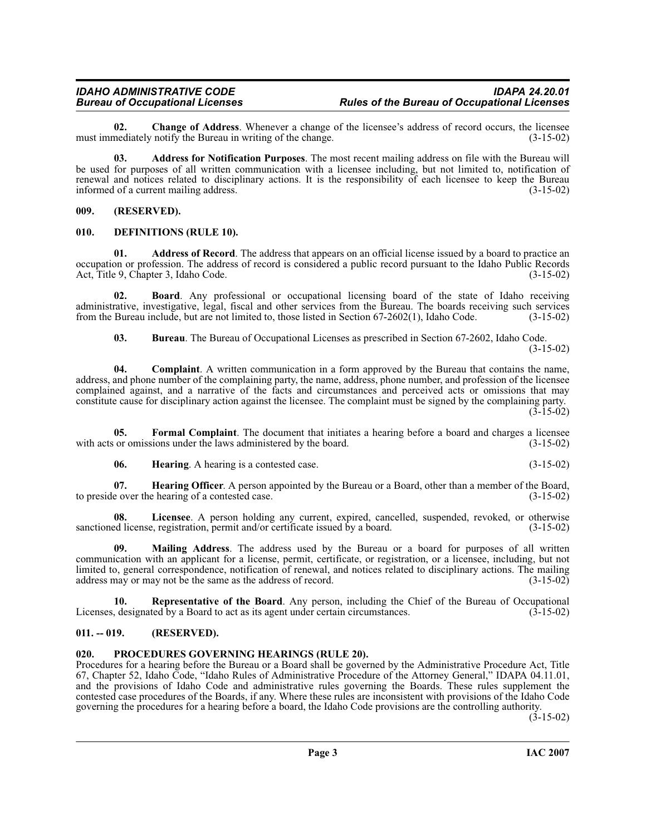**02.** Change of Address. Whenever a change of the licensee's address of record occurs, the licensee mediately notify the Bureau in writing of the change. (3-15-02) must immediately notify the Bureau in writing of the change.

**03. Address for Notification Purposes**. The most recent mailing address on file with the Bureau will be used for purposes of all written communication with a licensee including, but not limited to, notification of renewal and notices related to disciplinary actions. It is the responsibility of each licensee to keep the Bureau<br>informed of a current mailing address. informed of a current mailing address.

#### <span id="page-2-0"></span>**009. (RESERVED).**

#### <span id="page-2-4"></span><span id="page-2-1"></span>**010. DEFINITIONS (RULE 10).**

**01. Address of Record**. The address that appears on an official license issued by a board to practice an occupation or profession. The address of record is considered a public record pursuant to the Idaho Public Records Act, Title 9, Chapter 3, Idaho Code. (3-15-02)

**02. Board**. Any professional or occupational licensing board of the state of Idaho receiving administrative, investigative, legal, fiscal and other services from the Bureau. The boards receiving such services from the Bureau include, but are not limited to, those listed in Section 67-2602(1), Idaho Code. (3-15-02)

**03. Bureau**. The Bureau of Occupational Licenses as prescribed in Section 67-2602, Idaho Code. (3-15-02)

**04. Complaint**. A written communication in a form approved by the Bureau that contains the name, address, and phone number of the complaining party, the name, address, phone number, and profession of the licensee complained against, and a narrative of the facts and circumstances and perceived acts or omissions that may constitute cause for disciplinary action against the licensee. The complaint must be signed by the complaining party.  $(3-15-02)$ 

**05. Formal Complaint**. The document that initiates a hearing before a board and charges a licensee or omissions under the laws administered by the board. (3-15-02) with acts or omissions under the laws administered by the board.

<span id="page-2-5"></span>**06. Hearing**. A hearing is a contested case. (3-15-02)

**07. Hearing Officer**. A person appointed by the Bureau or a Board, other than a member of the Board, e over the hearing of a contested case. to preside over the hearing of a contested case.

**08.** Licensee. A person holding any current, expired, cancelled, suspended, revoked, or otherwise ed license, registration, permit and/or certificate issued by a board. (3-15-02) sanctioned license, registration, permit and/or certificate issued by a board.

**09. Mailing Address**. The address used by the Bureau or a board for purposes of all written communication with an applicant for a license, permit, certificate, or registration, or a licensee, including, but not limited to, general correspondence, notification of renewal, and notices related to disciplinary actions. The mailing address may or may not be the same as the address of record. (3-15-02) address may or may not be the same as the address of record.

<span id="page-2-7"></span>**Representative of the Board**. Any person, including the Chief of the Bureau of Occupational ted by a Board to act as its agent under certain circumstances. (3-15-02) Licenses, designated by a Board to act as its agent under certain circumstances.

#### <span id="page-2-2"></span>**011. -- 019. (RESERVED).**

#### <span id="page-2-6"></span><span id="page-2-3"></span>**020. PROCEDURES GOVERNING HEARINGS (RULE 20).**

Procedures for a hearing before the Bureau or a Board shall be governed by the Administrative Procedure Act, Title 67, Chapter 52, Idaho Code, "Idaho Rules of Administrative Procedure of the Attorney General," IDAPA 04.11.01, and the provisions of Idaho Code and administrative rules governing the Boards. These rules supplement the contested case procedures of the Boards, if any. Where these rules are inconsistent with provisions of the Idaho Code governing the procedures for a hearing before a board, the Idaho Code provisions are the controlling authority.

 $(3-15-02)$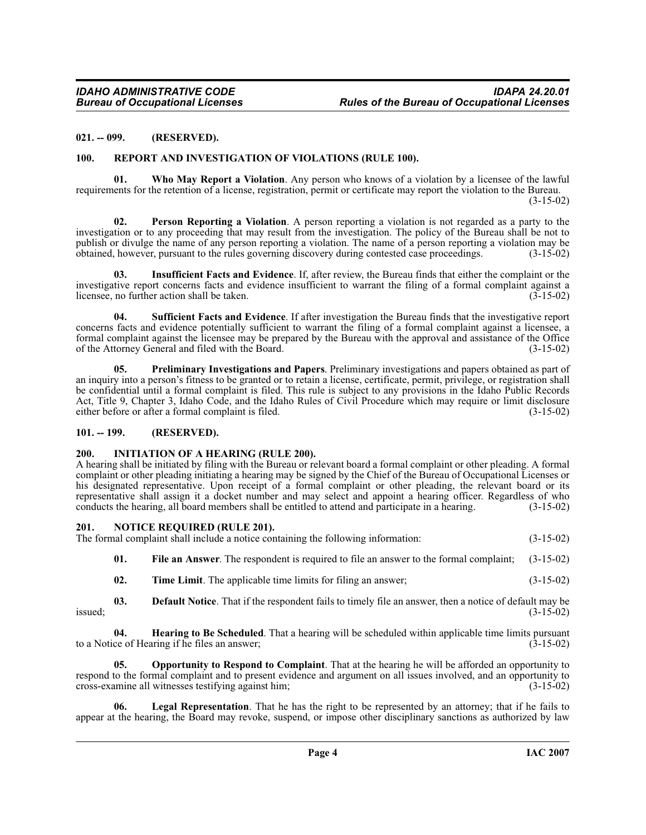#### <span id="page-3-0"></span>**021. -- 099. (RESERVED).**

#### <span id="page-3-9"></span><span id="page-3-1"></span>**100. REPORT AND INVESTIGATION OF VIOLATIONS (RULE 100).**

<span id="page-3-11"></span>**01. Who May Report a Violation**. Any person who knows of a violation by a licensee of the lawful requirements for the retention of a license, registration, permit or certificate may report the violation to the Bureau. (3-15-02)

**02. Person Reporting a Violation**. A person reporting a violation is not regarded as a party to the investigation or to any proceeding that may result from the investigation. The policy of the Bureau shall be not to publish or divulge the name of any person reporting a violation. The name of a person reporting a violation may be obtained, however, pursuant to the rules governing discovery during contested case proceedings. (3-15-02) obtained, however, pursuant to the rules governing discovery during contested case proceedings. (3-15-02)

<span id="page-3-6"></span>**03. Insufficient Facts and Evidence**. If, after review, the Bureau finds that either the complaint or the investigative report concerns facts and evidence insufficient to warrant the filing of a formal complaint against a licensee, no further action shall be taken. licensee, no further action shall be taken.

<span id="page-3-10"></span>**04. Sufficient Facts and Evidence**. If after investigation the Bureau finds that the investigative report concerns facts and evidence potentially sufficient to warrant the filing of a formal complaint against a licensee, a formal complaint against the licensee may be prepared by the Bureau with the approval and assistance of the Office of the Attorney General and filed with the Board. (3-15-02)

<span id="page-3-8"></span>**05. Preliminary Investigations and Papers**. Preliminary investigations and papers obtained as part of an inquiry into a person's fitness to be granted or to retain a license, certificate, permit, privilege, or registration shall be confidential until a formal complaint is filed. This rule is subject to any provisions in the Idaho Public Records Act, Title 9, Chapter 3, Idaho Code, and the Idaho Rules of Civil Procedure which may require or limit disclosure either before or after a formal complaint is filed. (3-15-02) either before or after a formal complaint is filed.

#### <span id="page-3-2"></span>**101. -- 199. (RESERVED).**

#### <span id="page-3-5"></span><span id="page-3-3"></span>**200. INITIATION OF A HEARING (RULE 200).**

A hearing shall be initiated by filing with the Bureau or relevant board a formal complaint or other pleading. A formal complaint or other pleading initiating a hearing may be signed by the Chief of the Bureau of Occupational Licenses or his designated representative. Upon receipt of a formal complaint or other pleading, the relevant board or its representative shall assign it a docket number and may select and appoint a hearing officer. Regardless of who conducts the hearing all board members shall be entitled to attend and participate in a hearing. (3-15-02) conducts the hearing, all board members shall be entitled to attend and participate in a hearing.

## <span id="page-3-7"></span><span id="page-3-4"></span>**201. NOTICE REQUIRED (RULE 201).** The formal complaint shall include a notice con

| The formal complaint shall include a notice containing the following information: | $(3-15-02)$ |
|-----------------------------------------------------------------------------------|-------------|
|-----------------------------------------------------------------------------------|-------------|

- **01. File an Answer**. The respondent is required to file an answer to the formal complaint; (3-15-02)
- **02.** Time Limit. The applicable time limits for filing an answer; (3-15-02)
- **03. Default Notice**. That if the respondent fails to timely file an answer, then a notice of default may be  $(3-15-02)$ issued; (3-15-02)

**04. Hearing to Be Scheduled**. That a hearing will be scheduled within applicable time limits pursuant ce of Hearing if he files an answer: to a Notice of Hearing if he files an answer;

**05. Opportunity to Respond to Complaint**. That at the hearing he will be afforded an opportunity to respond to the formal complaint and to present evidence and argument on all issues involved, and an opportunity to cross-examine all witnesses testifying against him; (3-15-02) cross-examine all witnesses testifying against him;

Legal Representation. That he has the right to be represented by an attorney; that if he fails to appear at the hearing, the Board may revoke, suspend, or impose other disciplinary sanctions as authorized by law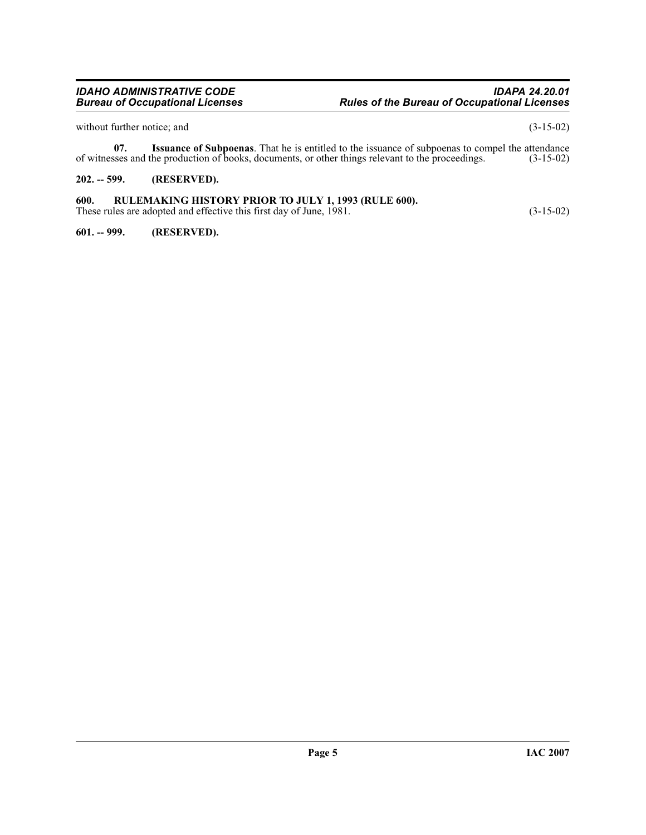without further notice; and (3-15-02)

**07.** Issuance of Subpoenas. That he is entitled to the issuance of subpoenas to compel the attendance sees and the production of books, documents, or other things relevant to the proceedings. (3-15-02) of witnesses and the production of books, documents, or other things relevant to the proceedings.

### <span id="page-4-0"></span>**202. -- 599. (RESERVED).**

### <span id="page-4-1"></span>**600. RULEMAKING HISTORY PRIOR TO JULY 1, 1993 (RULE 600).**

These rules are adopted and effective this first day of June, 1981. (3-15-02)

<span id="page-4-2"></span>**601. -- 999. (RESERVED).**